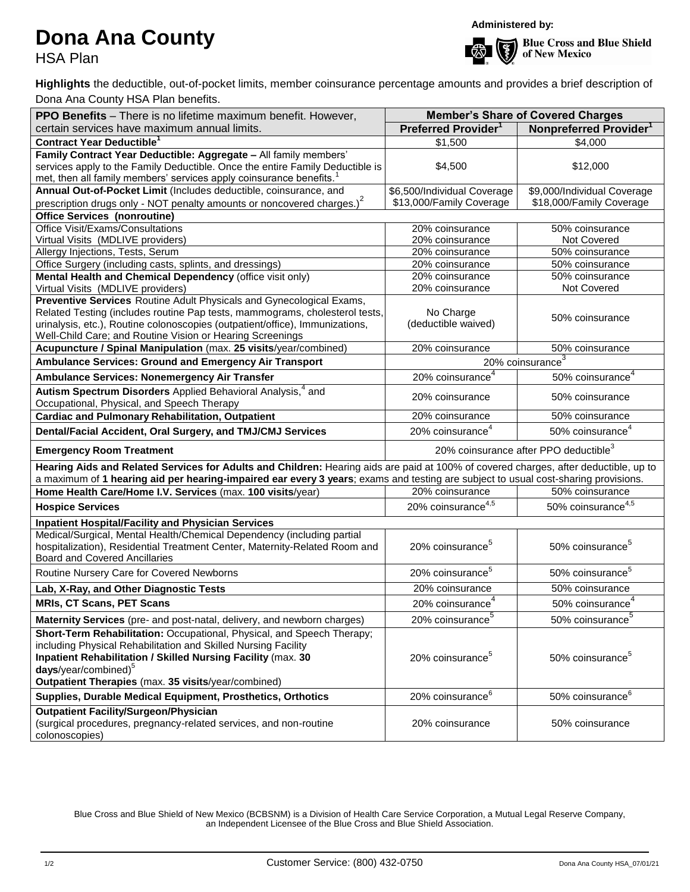## **Dona Ana County**

HSA Plan

**Administered by:**



**Blue Cross and Blue Shield** of New Mexico

**Highlights** the deductible, out-of-pocket limits, member coinsurance percentage amounts and provides a brief description of Dona Ana County HSA Plan benefits.

| PPO Benefits - There is no lifetime maximum benefit. However,                                                                                                                                | <b>Member's Share of Covered Charges</b>          |                                    |  |
|----------------------------------------------------------------------------------------------------------------------------------------------------------------------------------------------|---------------------------------------------------|------------------------------------|--|
| certain services have maximum annual limits.                                                                                                                                                 | Preferred Provider <sup>1</sup>                   | Nonpreferred Provider <sup>1</sup> |  |
| <b>Contract Year Deductible</b>                                                                                                                                                              | \$1,500                                           | \$4,000                            |  |
| Family Contract Year Deductible: Aggregate - All family members'                                                                                                                             |                                                   |                                    |  |
| services apply to the Family Deductible. Once the entire Family Deductible is                                                                                                                | \$4,500                                           | \$12,000                           |  |
| met, then all family members' services apply coinsurance benefits. <sup>1</sup>                                                                                                              |                                                   |                                    |  |
| Annual Out-of-Pocket Limit (Includes deductible, coinsurance, and                                                                                                                            | \$6,500/Individual Coverage                       | \$9,000/Individual Coverage        |  |
| prescription drugs only - NOT penalty amounts or noncovered charges.) <sup>2</sup>                                                                                                           | \$13,000/Family Coverage                          | \$18,000/Family Coverage           |  |
| <b>Office Services (nonroutine)</b>                                                                                                                                                          |                                                   |                                    |  |
| Office Visit/Exams/Consultations                                                                                                                                                             | 20% coinsurance                                   | 50% coinsurance                    |  |
| Virtual Visits (MDLIVE providers)                                                                                                                                                            | 20% coinsurance                                   | Not Covered                        |  |
| Allergy Injections, Tests, Serum                                                                                                                                                             | 20% coinsurance                                   | 50% coinsurance                    |  |
| Office Surgery (including casts, splints, and dressings)                                                                                                                                     | 20% coinsurance                                   | 50% coinsurance                    |  |
| Mental Health and Chemical Dependency (office visit only)                                                                                                                                    | 20% coinsurance                                   | 50% coinsurance                    |  |
| Virtual Visits (MDLIVE providers)                                                                                                                                                            | 20% coinsurance                                   | Not Covered                        |  |
| Preventive Services Routine Adult Physicals and Gynecological Exams,                                                                                                                         |                                                   |                                    |  |
| Related Testing (includes routine Pap tests, mammograms, cholesterol tests,                                                                                                                  | No Charge                                         | 50% coinsurance                    |  |
| urinalysis, etc.), Routine colonoscopies (outpatient/office), Immunizations,                                                                                                                 | (deductible waived)                               |                                    |  |
| Well-Child Care; and Routine Vision or Hearing Screenings                                                                                                                                    |                                                   |                                    |  |
| Acupuncture / Spinal Manipulation (max. 25 visits/year/combined)                                                                                                                             | 20% coinsurance                                   | 50% coinsurance                    |  |
| Ambulance Services: Ground and Emergency Air Transport                                                                                                                                       | 20% coinsurance <sup>3</sup>                      |                                    |  |
| Ambulance Services: Nonemergency Air Transfer                                                                                                                                                | 20% coinsurance <sup>4</sup>                      | 50% coinsurance <sup>4</sup>       |  |
| Autism Spectrum Disorders Applied Behavioral Analysis, <sup>4</sup> and<br>Occupational, Physical, and Speech Therapy                                                                        | 20% coinsurance                                   | 50% coinsurance                    |  |
| <b>Cardiac and Pulmonary Rehabilitation, Outpatient</b>                                                                                                                                      | 20% coinsurance                                   | 50% coinsurance                    |  |
| Dental/Facial Accident, Oral Surgery, and TMJ/CMJ Services                                                                                                                                   | 20% coinsurance <sup>4</sup>                      | 50% coinsurance <sup>4</sup>       |  |
| <b>Emergency Room Treatment</b>                                                                                                                                                              | 20% coinsurance after PPO deductible <sup>3</sup> |                                    |  |
| Hearing Aids and Related Services for Adults and Children: Hearing aids are paid at 100% of covered charges, after deductible, up to                                                         |                                                   |                                    |  |
| a maximum of 1 hearing aid per hearing-impaired ear every 3 years; exams and testing are subject to usual cost-sharing provisions.                                                           |                                                   |                                    |  |
| Home Health Care/Home I.V. Services (max. 100 visits/year)                                                                                                                                   | 20% coinsurance                                   | 50% coinsurance                    |  |
| <b>Hospice Services</b>                                                                                                                                                                      | 20% coinsurance <sup>4,5</sup>                    | 50% coinsurance <sup>4,5</sup>     |  |
| <b>Inpatient Hospital/Facility and Physician Services</b>                                                                                                                                    |                                                   |                                    |  |
| Medical/Surgical, Mental Health/Chemical Dependency (including partial<br>hospitalization), Residential Treatment Center, Maternity-Related Room and<br><b>Board and Covered Ancillaries</b> | 20% coinsurance <sup>5</sup>                      | 50% coinsurance <sup>5</sup>       |  |
| Routine Nursery Care for Covered Newborns                                                                                                                                                    | 20% coinsurance <sup>5</sup>                      | 50% coinsurance <sup>5</sup>       |  |
| Lab, X-Ray, and Other Diagnostic Tests                                                                                                                                                       | 20% coinsurance                                   | 50% coinsurance                    |  |
| <b>MRIS, CT Scans, PET Scans</b>                                                                                                                                                             | 20% coinsurance <sup>4</sup>                      | $50\%$ coinsurance $^4$            |  |
| Maternity Services (pre- and post-natal, delivery, and newborn charges)                                                                                                                      | 20% coinsurance <sup>5</sup>                      | 50% coinsurance <sup>5</sup>       |  |
| Short-Term Rehabilitation: Occupational, Physical, and Speech Therapy;                                                                                                                       |                                                   |                                    |  |
| including Physical Rehabilitation and Skilled Nursing Facility                                                                                                                               |                                                   |                                    |  |
| Inpatient Rehabilitation / Skilled Nursing Facility (max. 30                                                                                                                                 | 20% coinsurance <sup>5</sup>                      | 50% coinsurance <sup>5</sup>       |  |
| days/year/combined) <sup>5</sup>                                                                                                                                                             |                                                   |                                    |  |
| Outpatient Therapies (max. 35 visits/year/combined)                                                                                                                                          |                                                   |                                    |  |
| Supplies, Durable Medical Equipment, Prosthetics, Orthotics                                                                                                                                  | 20% coinsurance <sup>6</sup>                      | 50% coinsurance <sup>6</sup>       |  |
| <b>Outpatient Facility/Surgeon/Physician</b><br>(surgical procedures, pregnancy-related services, and non-routine<br>colonoscopies)                                                          | 20% coinsurance                                   | 50% coinsurance                    |  |

Blue Cross and Blue Shield of New Mexico (BCBSNM) is a Division of Health Care Service Corporation, a Mutual Legal Reserve Company, an Independent Licensee of the Blue Cross and Blue Shield Association.